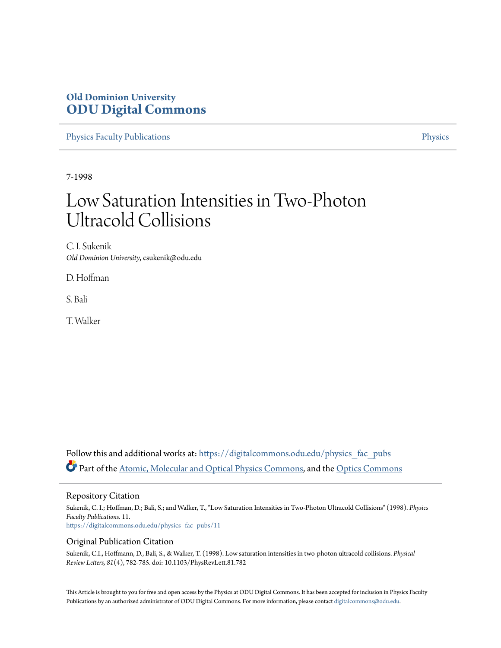## **Old Dominion University [ODU Digital Commons](https://digitalcommons.odu.edu?utm_source=digitalcommons.odu.edu%2Fphysics_fac_pubs%2F11&utm_medium=PDF&utm_campaign=PDFCoverPages)**

[Physics Faculty Publications](https://digitalcommons.odu.edu/physics_fac_pubs?utm_source=digitalcommons.odu.edu%2Fphysics_fac_pubs%2F11&utm_medium=PDF&utm_campaign=PDFCoverPages) **[Physics](https://digitalcommons.odu.edu/physics?utm_source=digitalcommons.odu.edu%2Fphysics_fac_pubs%2F11&utm_medium=PDF&utm_campaign=PDFCoverPages)** 

7-1998

## Low Saturation Intensities in Two-Photon Ultracold Collisions

C. I. Sukenik *Old Dominion University*, csukenik@odu.edu

D. Hoffman

S. Bali

T. Walker

Follow this and additional works at: [https://digitalcommons.odu.edu/physics\\_fac\\_pubs](https://digitalcommons.odu.edu/physics_fac_pubs?utm_source=digitalcommons.odu.edu%2Fphysics_fac_pubs%2F11&utm_medium=PDF&utm_campaign=PDFCoverPages) Part of the [Atomic, Molecular and Optical Physics Commons,](http://network.bepress.com/hgg/discipline/195?utm_source=digitalcommons.odu.edu%2Fphysics_fac_pubs%2F11&utm_medium=PDF&utm_campaign=PDFCoverPages) and the [Optics Commons](http://network.bepress.com/hgg/discipline/204?utm_source=digitalcommons.odu.edu%2Fphysics_fac_pubs%2F11&utm_medium=PDF&utm_campaign=PDFCoverPages)

Repository Citation

Sukenik, C. I.; Hoffman, D.; Bali, S.; and Walker, T., "Low Saturation Intensities in Two-Photon Ultracold Collisions" (1998). *Physics Faculty Publications*. 11. [https://digitalcommons.odu.edu/physics\\_fac\\_pubs/11](https://digitalcommons.odu.edu/physics_fac_pubs/11?utm_source=digitalcommons.odu.edu%2Fphysics_fac_pubs%2F11&utm_medium=PDF&utm_campaign=PDFCoverPages)

## Original Publication Citation

Sukenik, C.I., Hoffmann, D., Bali, S., & Walker, T. (1998). Low saturation intensities in two-photon ultracold collisions. *Physical Review Letters, 81*(4), 782-785. doi: 10.1103/PhysRevLett.81.782

This Article is brought to you for free and open access by the Physics at ODU Digital Commons. It has been accepted for inclusion in Physics Faculty Publications by an authorized administrator of ODU Digital Commons. For more information, please contact [digitalcommons@odu.edu](mailto:digitalcommons@odu.edu).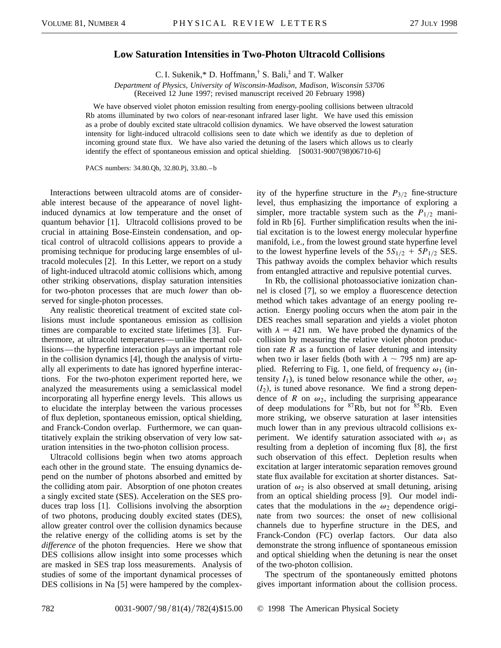## **Low Saturation Intensities in Two-Photon Ultracold Collisions**

C. I. Sukenik,\* D. Hoffmann,† S. Bali,‡ and T. Walker

*Department of Physics, University of Wisconsin-Madison, Madison, Wisconsin 53706* (Received 12 June 1997; revised manuscript received 20 February 1998)

We have observed violet photon emission resulting from energy-pooling collisions between ultracold Rb atoms illuminated by two colors of near-resonant infrared laser light. We have used this emission as a probe of doubly excited state ultracold collision dynamics. We have observed the lowest saturation intensity for light-induced ultracold collisions seen to date which we identify as due to depletion of incoming ground state flux. We have also varied the detuning of the lasers which allows us to clearly identify the effect of spontaneous emission and optical shielding. [S0031-9007(98)06710-6]

PACS numbers: 34.80.Qb, 32.80.Pj, 33.80. – b

Interactions between ultracold atoms are of considerable interest because of the appearance of novel lightinduced dynamics at low temperature and the onset of quantum behavior [1]. Ultracold collisions proved to be crucial in attaining Bose-Einstein condensation, and optical control of ultracold collisions appears to provide a promising technique for producing large ensembles of ultracold molecules [2]. In this Letter, we report on a study of light-induced ultracold atomic collisions which, among other striking observations, display saturation intensities for two-photon processes that are much *lower* than observed for single-photon processes.

Any realistic theoretical treatment of excited state collisions must include spontaneous emission as collision times are comparable to excited state lifetimes [3]. Furthermore, at ultracold temperatures—unlike thermal collisions—the hyperfine interaction plays an important role in the collision dynamics [4], though the analysis of virtually all experiments to date has ignored hyperfine interactions. For the two-photon experiment reported here, we analyzed the measurements using a semiclassical model incorporating all hyperfine energy levels. This allows us to elucidate the interplay between the various processes of flux depletion, spontaneous emission, optical shielding, and Franck-Condon overlap. Furthermore, we can quantitatively explain the striking observation of very low saturation intensities in the two-photon collision process.

Ultracold collisions begin when two atoms approach each other in the ground state. The ensuing dynamics depend on the number of photons absorbed and emitted by the colliding atom pair. Absorption of one photon creates a singly excited state (SES). Acceleration on the SES produces trap loss [1]. Collisions involving the absorption of two photons, producing doubly excited states (DES), allow greater control over the collision dynamics because the relative energy of the colliding atoms is set by the *difference* of the photon frequencies. Here we show that DES collisions allow insight into some processes which are masked in SES trap loss measurements. Analysis of studies of some of the important dynamical processes of DES collisions in Na [5] were hampered by the complexity of the hyperfine structure in the  $P_{3/2}$  fine-structure level, thus emphasizing the importance of exploring a simpler, more tractable system such as the  $P_{1/2}$  manifold in Rb [6]. Further simplification results when the initial excitation is to the lowest energy molecular hyperfine manifold, i.e., from the lowest ground state hyperfine level to the lowest hyperfine levels of the  $5S_{1/2} + 5P_{1/2}$  SES. This pathway avoids the complex behavior which results from entangled attractive and repulsive potential curves.

In Rb, the collisional photoassociative ionization channel is closed [7], so we employ a fluorescence detection method which takes advantage of an energy pooling reaction. Energy pooling occurs when the atom pair in the DES reaches small separation and yields a violet photon with  $\lambda = 421$  nm. We have probed the dynamics of the collision by measuring the relative violet photon production rate *R* as a function of laser detuning and intensity when two ir laser fields (both with  $\lambda \sim 795$  nm) are applied. Referring to Fig. 1, one field, of frequency  $\omega_1$  (intensity  $I_1$ ), is tuned below resonance while the other,  $\omega_2$  $(I_2)$ , is tuned above resonance. We find a strong dependence of *R* on  $\omega_2$ , including the surprising appearance of deep modulations for  ${}^{87}Rb$ , but not for  ${}^{85}Rb$ . Even more striking, we observe saturation at laser intensities much lower than in any previous ultracold collisions experiment. We identify saturation associated with  $\omega_1$  as resulting from a depletion of incoming flux [8], the first such observation of this effect. Depletion results when excitation at larger interatomic separation removes ground state flux available for excitation at shorter distances. Saturation of  $\omega_2$  is also observed at small detuning, arising from an optical shielding process [9]. Our model indicates that the modulations in the  $\omega_2$  dependence originate from two sources: the onset of new collisional channels due to hyperfine structure in the DES, and Franck-Condon (FC) overlap factors. Our data also demonstrate the strong influence of spontaneous emission and optical shielding when the detuning is near the onset of the two-photon collision.

The spectrum of the spontaneously emitted photons gives important information about the collision process.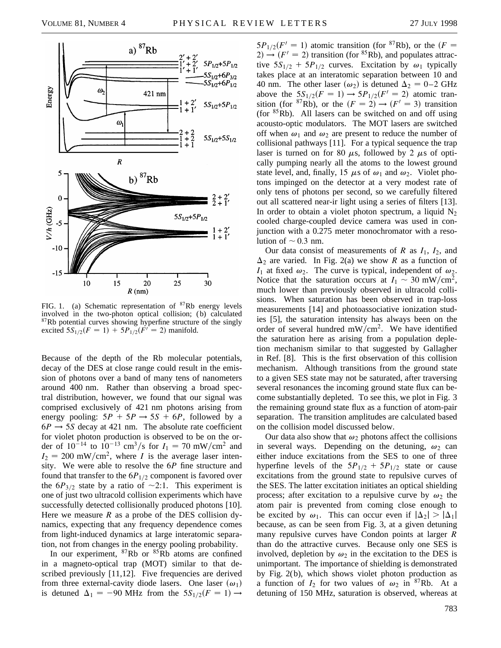

FIG. 1. (a) Schematic representation of  $87Rb$  energy levels involved in the two-photon optical collision; (b) calculated  $87Rb$  potential curves showing hyperfine structure of the singly excited  $5S_{1/2}(F = 1) + 5P_{1/2}(F^{T} = 2)$  manifold.

Because of the depth of the Rb molecular potentials, decay of the DES at close range could result in the emission of photons over a band of many tens of nanometers around 400 nm. Rather than observing a broad spectral distribution, however, we found that our signal was comprised exclusively of 421 nm photons arising from energy pooling:  $5P + 5P \rightarrow 5S + 6P$ , followed by a  $6P \rightarrow 5S$  decay at 421 nm. The absolute rate coefficient for violet photon production is observed to be on the order of  $10^{-14}$  to  $10^{-13}$  cm<sup>3</sup>/s for  $I_1 = 70$  mW/cm<sup>2</sup> and  $I_2 = 200$  mW/cm<sup>2</sup>, where *I* is the average laser intensity. We were able to resolve the 6*P* fine structure and found that transfer to the  $6P_{1/2}$  component is favored over the  $6P_{3/2}$  state by a ratio of  $\sim$ 2:1. This experiment is one of just two ultracold collision experiments which have successfully detected collisionally produced photons [10]. Here we measure *R* as a probe of the DES collision dynamics, expecting that any frequency dependence comes from light-induced dynamics at large interatomic separation, not from changes in the energy pooling probability.

In our experiment,  ${}^{87}Rb$  or  ${}^{85}Rb$  atoms are confined in a magneto-optical trap (MOT) similar to that described previously [11,12]. Five frequencies are derived from three external-cavity diode lasers. One laser  $(\omega_1)$ is detuned  $\Delta_1 = -90$  MHz from the  $5S_{1/2}(F = 1) \rightarrow$ 

 $5P_{1/2}(F' = 1)$  atomic transition (for <sup>87</sup>Rb), or the  $(F = 1)$  $2) \rightarrow (F' = 2)$  transition (for <sup>85</sup>Rb), and populates attractive  $5S_{1/2} + 5P_{1/2}$  curves. Excitation by  $\omega_1$  typically takes place at an interatomic separation between 10 and 40 nm. The other laser  $(\omega_2)$  is detuned  $\Delta_2 = 0$  – 2 GHz above the  $5S_{1/2}(F = 1) \rightarrow 5P_{1/2}(F' = 2)$  atomic transition (for <sup>87</sup>Rb), or the  $(F = 2) \rightarrow (F' = 3)$  transition (for  ${}^{85}Rb$ ). All lasers can be switched on and off using acousto-optic modulators. The MOT lasers are switched off when  $\omega_1$  and  $\omega_2$  are present to reduce the number of collisional pathways [11]. For a typical sequence the trap laser is turned on for 80  $\mu$ s, followed by 2  $\mu$ s of optically pumping nearly all the atoms to the lowest ground state level, and, finally, 15  $\mu$ s of  $\omega_1$  and  $\omega_2$ . Violet photons impinged on the detector at a very modest rate of only tens of photons per second, so we carefully filtered out all scattered near-ir light using a series of filters [13]. In order to obtain a violet photon spectrum, a liquid  $N_2$ cooled charge-coupled device camera was used in conjunction with a 0.275 meter monochromator with a resolution of  $\sim$  0.3 nm.

Our data consist of measurements of *R* as *I*1, *I*2, and  $\Delta_2$  are varied. In Fig. 2(a) we show *R* as a function of  $I_1$  at fixed  $\omega_2$ . The curve is typical, independent of  $\omega_2$ . Notice that the saturation occurs at  $I_1 \sim 30 \text{ mW/cm}^2$ , much lower than previously observed in ultracold collisions. When saturation has been observed in trap-loss measurements [14] and photoassociative ionization studies [5], the saturation intensity has always been on the order of several hundred  $mW/cm<sup>2</sup>$ . We have identified the saturation here as arising from a population depletion mechanism similar to that suggested by Gallagher in Ref. [8]. This is the first observation of this collision mechanism. Although transitions from the ground state to a given SES state may not be saturated, after traversing several resonances the incoming ground state flux can become substantially depleted. To see this, we plot in Fig. 3 the remaining ground state flux as a function of atom-pair separation. The transition amplitudes are calculated based on the collision model discussed below.

Our data also show that  $\omega_2$  photons affect the collisions in several ways. Depending on the detuning,  $\omega_2$  can either induce excitations from the SES to one of three hyperfine levels of the  $5P_{1/2} + 5P_{1/2}$  state or cause excitations from the ground state to repulsive curves of the SES. The latter excitation initiates an optical shielding process; after excitation to a repulsive curve by  $\omega_2$  the atom pair is prevented from coming close enough to be excited by  $\omega_1$ . This can occur even if  $|\Delta_2| > |\Delta_1|$ because, as can be seen from Fig. 3, at a given detuning many repulsive curves have Condon points at larger *R* than do the attractive curves. Because only one SES is involved, depletion by  $\omega_2$  in the excitation to the DES is unimportant. The importance of shielding is demonstrated by Fig. 2(b), which shows violet photon production as a function of  $I_2$  for two values of  $\omega_2$  in <sup>87</sup>Rb. At a detuning of 150 MHz, saturation is observed, whereas at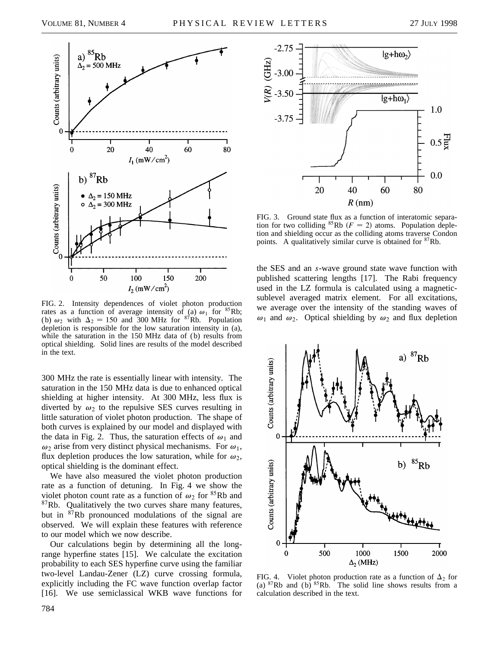

FIG. 2. Intensity dependences of violet photon production rates as a function of average intensity of (a)  $\omega_1$  for <sup>85</sup>Rb; (b)  $\omega_2$  with  $\Delta_2 = 150$  and 300 MHz for <sup>87</sup>Rb. Population depletion is responsible for the low saturation intensity in (a), while the saturation in the 150 MHz data of (b) results from optical shielding. Solid lines are results of the model described in the text.

300 MHz the rate is essentially linear with intensity. The saturation in the 150 MHz data is due to enhanced optical shielding at higher intensity. At 300 MHz, less flux is diverted by  $\omega_2$  to the repulsive SES curves resulting in little saturation of violet photon production. The shape of both curves is explained by our model and displayed with the data in Fig. 2. Thus, the saturation effects of  $\omega_1$  and  $\omega_2$  arise from very distinct physical mechanisms. For  $\omega_1$ , flux depletion produces the low saturation, while for  $\omega_2$ , optical shielding is the dominant effect.

We have also measured the violet photon production rate as a function of detuning. In Fig. 4 we show the violet photon count rate as a function of  $\omega_2$  for <sup>85</sup>Rb and  $87Rb$ . Qualitatively the two curves share many features, but in <sup>87</sup>Rb pronounced modulations of the signal are observed. We will explain these features with reference to our model which we now describe.

Our calculations begin by determining all the longrange hyperfine states [15]. We calculate the excitation probability to each SES hyperfine curve using the familiar two-level Landau-Zener (LZ) curve crossing formula, explicitly including the FC wave function overlap factor [16]. We use semiclassical WKB wave functions for



FIG. 3. Ground state flux as a function of interatomic separation for two colliding <sup>85</sup>Rb ( $F = 2$ ) atoms. Population depletion and shielding occur as the colliding atoms traverse Condon points. A qualitatively similar curve is obtained for <sup>87</sup>Rb.

the SES and an *s*-wave ground state wave function with published scattering lengths [17]. The Rabi frequency used in the LZ formula is calculated using a magneticsublevel averaged matrix element. For all excitations, we average over the intensity of the standing waves of  $\omega_1$  and  $\omega_2$ . Optical shielding by  $\omega_2$  and flux depletion



FIG. 4. Violet photon production rate as a function of  $\Delta_2$  for (a)  ${}^{87}Rb$  and (b)  ${}^{85}Rb$ . The solid line shows results from a calculation described in the text.